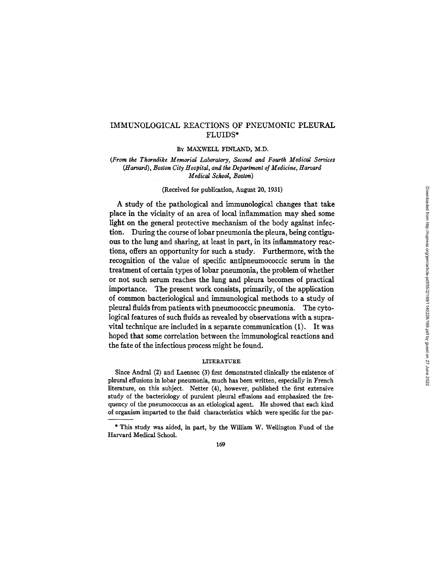# IMMUNOLOGICAL REACTIONS OF PNEUMONIC PLEURAL FLUIDS\*

### BY MAXWELL FINLAND, M.D.

## *(From the Thorndike Memorial Laboratory, Second and Fourth Medical Services (Harvard), Boston City Hospital, and the Department of Medicine, Harvard Medical School, Boston)*

# (Received for publication, August 20, 1931)

A study of the pathological and immunological changes that take place in the vicinity of an area of local inflammation may shed some light on the general protective mechanism of the body against infection. During the course of lobar pneumonia the pleura, being contiguous to the lung and sharing, at least in part, in its inflammatory reactions, offers an opportunity for such a study. Furthermore, with the recognition of the value of specific antipneumococcic serum in the treatment of certain types of lobar pneumonia, the problem of whether or not such serum reaches the lung and pleura becomes of practical importance. The present work consists, primarily, of the application of common bacteriological and immunological methods to a study of pleural fluids from patients with pneumococcic pneumonia. The cytological features of such fluids as revealed by observations with a supravital technique are included in a separate communication (1). It was hoped that some correlation between the immunological reactions and the fate of the infectious process might be found.

### LITERATURE

Since Andral (2) and Laennec (3) first demonstrated clinically the existence of ' pleural effusions in lobar pneumonia, much has been written, especially in French literature, on this subject. Netter (4), however, published the first extensive study of the bacteriology of purulent pleural effusions and emphasized the frequency of the pneumococcus as an etiological agent. He showed that each kind of organism imparted to the fluid characteristics which were specific for the par-

<sup>\*</sup> This study was aided, in part, by the William W. Wellington Fund of the Harvard Medical School.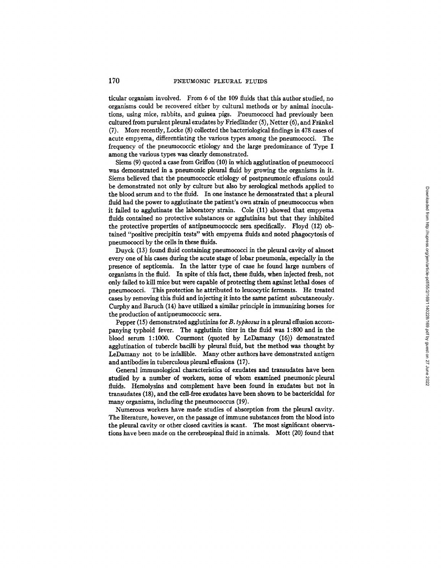ticular organism involved. From 6 of the 109 fluids that this author studied, no organisms could be recovered either by cultural methods or by animal inoculations, using mice, rabbits, and guinea pigs. Pneumococci had previously been cultured from purulent pleural exudates by Friedländer  $(5)$ , Netter  $(6)$ , and Fränkel (7). More recently, Locke (8) collected the bacteriological findings in 478 cases of acute empyema, differentiating the various types among the pneumococci. The frequency of the pneumococcic etiology and the large predominance of Type I among the various types was dearly demonstrated.

Siems (9) quoted a case from Griffon (10) in which agglutination of pneumococci was demonstrated in a pneumonic pleural fluid by growing the organisms in it. Siems believed that the pneumococcic etiology of postpneumonic effusions could be demonstrated not only by culture but also by serological methods applied to the blood serum and to the fluid. In one instance he demonstrated that a pleural fluid had the power to agglutinate the patient's own strain of pneumococcus when it failed to agglutinate the laboratory strain. Cole (11) showed that empyema fluids contained no protective substances or agglutinins but that they inhibited the protective properties of antipneumococcic sera specifically. Floyd (12) obtained "positive precipitin tests" with empyema fluids and noted phagocytosis of pneumococci by the cells in these fluids.

Duyck (13) found fluid containing pneumococci in the pleural cavity of almost every one of his cases during the acute stage of lobar pneumonia, especially in the presence of septicemia. In the latter type of case he found large numbers of organisms in the fluid. In spite of this fact, these fluids, when injected fresh, not only failed to kill mice but were capable of protecting them against lethal doses of pneumococci. This protection he attributed to leucocytic ferments. He treated cases by removing this fluid and injecting it into the same patient subcutaneously. Curphy and Baruch (14) have utilized a similar principle in immunizing horses for the production of antipneumococcic sera.

Pepper (15) demonstrated agglutinins for *B. typhosus* in a pleural effusion accompanying typhoid fever. The agglutinin titer in the fluid was 1:800 and in the blood serum 1:1000. Courmont (quoted by LeDamany (16)) demonstrated agglutination of tubercle hacilli by pleural fluid, but the method was thought by LeDamany not to be infallible. Many other authors have demonstrated antigen and antibodies in tuberculous pleural effusions (17).

General immunological characteristics of exudates and transudates have been studied by a number of workers, some of whom examined pneumonic pleural fluids. Hemolysins and complement have been found in exudates but not in transudates (18), and the cell-free exudates have been shown to be bactericidal for many organisms, including the pneumococcus (19).

Numerous workers have made studies of absorption from the pleura] cavity. The literature, however, on the passage of immune substances from the blood into the pleural cavity or other closed cavities is scant. The most significant observations have been made on the cerebrospinal fluid in animals. Mort (20) found that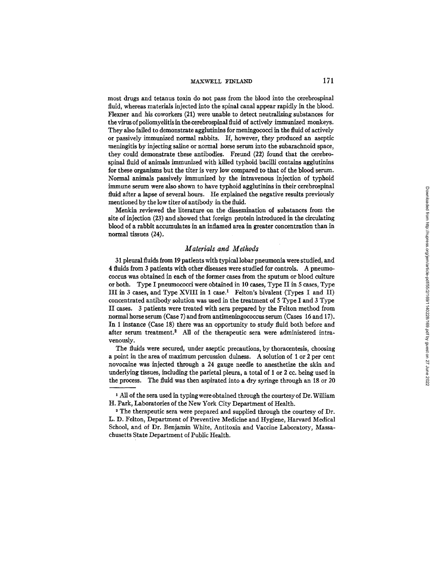### **MAXWELL FINLAND** 171

most drugs and tetanus toxin do not pass from the blood into the cerebrospinal fluid, whereas materials injected into the spinal canal appear rapidly in the blood. Flexner and his coworkers (21) were unable to detect neutralizing substances for the virus of poliomyelitis in the cerebrospinal fluid of actively immunized monkeys. They also failed to demonstrate agglutinins for meningococci in the fluid of actively or passively immunized normal rabbits. If, however, they produced an aseptic meningitis by injecting saline or normal horse serum into the subarachnoid space, they could demonstrate these antibodies. Freund (22) found that the cerebrospinal fluid of animals immunized with killed typhoid bacilli contains agglutinins for these organisms but the titer is very low compared to that of the blood serum. Normal animals passively immunized by the intravenous injection of typhoid immune serum were also shown to have typhoid agglutinins in their cerebrospinal fluid after a lapse of several hours. He explained the negative results previously mentioned by the low titer of antibody in the fluid.

Menkin reviewed the literature on the dissemination of substances from the site of injection (23) and showed that foreign protein introduced in the circulating blood of a rabbit accumulates in an inflamed area in greater concentration than in normal tissues (24).

# *Materials and Methods*

31 pleural fluids from 19 patients with typical lobar pneumonia were studied, and 4 fluids from 3 patients with other diseases were studied for controls. A pneumococcus was obtained in each of the former cases from the sputum or blood culture or both. Type I pneumococci were obtained in 10 cases, Type II in 5 cases, Type III in 3 cases, and Type XVIII in 1 case.<sup>1</sup> Felton's bivalent (Types I and II) concentrated antibody solution was used in the treatment of 5 Type I and 3 Type II cases. 3 patients were treated with sera prepared by the Felton method from normal horse serum (Case 7) and from antimeningococcus serum (Cases 16 and 17). In 1 instance (Case 18) there was an opportunity to study fluid both before and after serum treatment.<sup>2</sup> All of the therapeutic sera were administered intravenously.

The fluids were secured, under aseptic precautions, by thoracentesis, choosing a point in the area of maximum percussion dulness. A solution of 1 or 2 per cent novocaine was injected through a 24 gauge needle to anesthetize the skin and underlying tissues, including the parietal pleura, a total of 1 or 2 cc. being used in the process. The fluid was then aspirated into a dry syringe through an 18 or 20

<sup>1</sup> All of the sera used in typing were obtained through the courtesyof Dr. William H. Park, Laboratories of the New York City Department of Health.

<sup>2</sup> The therapeutic sera were prepared and supplied through the courtesy of Dr. L. D. Felton, Department of Preventive Medicine and Hygiene, Harvard Medical School, and of Dr. Benjamin White, Antitoxin and Vaccine Laboratory, Massachnsetts State Department of Public Health.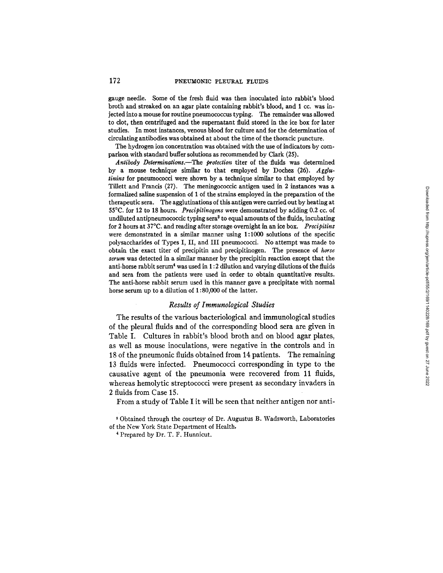gauge needle. Some of the fresh fluid was then inoculated into rabbit's blood broth and streaked on an agar plate containing rabbit's blood, and 1 cc. was injected into a mouse for routine pneumococcus typing. The remainder was allowed to clot, then centrifuged and the supernatant fluid stored in the ice box for later studies. In most instances, venous blood for culture and for the determination of circulating antibodies was obtained at about the time of the thoracic puncture.

The hydrogen ion concentration was obtained with the use of indicators by comparison with standard buffer solutions as recommended by Clark (25).

*Antibody Determinations.--The protection* titer of the fluids was determined by a mouse technique similar to that employed by Dochez (26). *Agglutinins* for pneumocoeci were shown by a technique similar to that employed by Tillett and Francis (27). The meningococcic antigen used in 2 instances was a formalized saline suspension of 1 of the strains employed in the preparation of the therapeutic sera. The agglutinations of this antigen were carried out by heating at 55°C. for 12 to 18 hours. *Precipitinogens* were demonstrated by adding 0.2 cc. of undiluted antipneumococcic typing sera<sup>3</sup> to equal amounts of the fluids, incubating for 2 hours at 37°C. and reading after storage overnight in an ice box. *Precipitins*  were demonstrated in a similar manner using 1:1000 solutions of the specific polysaccharides of Types I, II, and III pneumococci. No attempt was made to obtain the exact titer of preeipitin and precipitinogen. The presence of *horse serum* was detected in a similar manner by the precipitin reaction except that the anti-horse rabbit serum<sup>4</sup> was used in  $1:2$  dilution and varying dilutions of the fluids and sera from the patients were used in order to obtain quantitative results. The anti-horse rabbit serum used in this manner gave a precipitate with normal horse serum up to a dilution of 1 : 80,000 of the latter.

### *Results of Immunological Studies*

The results of the various bacteriological and immunological studies of the pleural fluids and of the corresponding blood sera are given in Table I. Cultures in rabbit's blood broth and on blood agar plates, as well as mouse inoculations, were negative in the controls and in 18 of the pneumonic fluids obtained from 14 patients. The remaining 13 fluids were infected. Pneumococci corresponding in type to the causative agent of the pneumonia were recovered from 11 fluids, whereas hemolytic streptococci were present as secondary invaders in 2 fluids from Case 15.

From a study of Table I it wiU be seen that neither antigen nor anti-

s Obtained through the courtesy of Dr. Augustus B. Wadsworth, Laboratories of the New York State Department of Health.

4 Prepared by Dr. T. F. Hunnicut.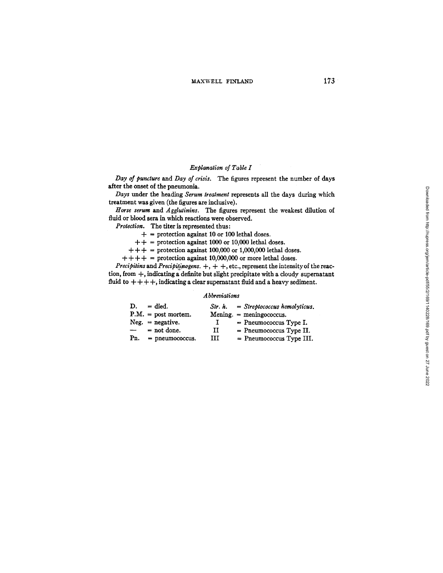# *Explanation of Table I*

*Day of puncture and Day of crisis.* The figures represent the number of days after the onset of the pneumonia.

*Days* under the heading *Serum treatment* represents all the days during which treatment was given (the figures are inclusive).

Horse serum and Agglutinins. The figures represent the weakest dilution of fluid or blood sera in which reactions were observed.

*Protection.* The titer is represented thus:

 $+$  = protection against 10 or 100 lethal doses.

 $++$  = protection against 1000 or 10,000 lethal doses.

 $++ +$  = protection against 100,000 or 1,000,000 lethal doses.

 $++++$  = protection against 10,000,000 or more lethal doses.

*Precipitins* and *Precipitinogens.*  $+$ ,  $+$ ,  $+$ , etc., represent the intensity of the reaction, from +, indicating a definite but slight precipitate with a cloudy supernatant fluid to  $++++$ , indicating a clear supernatant fluid and a heavy sediment.

#### *A bbreviations*

| D.            | $=$ died.             | Str. h. | $=$ Streptococcus hemolyticus. |
|---------------|-----------------------|---------|--------------------------------|
|               | $P.M. = post mortem.$ |         | $Mening. = meningococcus.$     |
|               | $Neg. = negative.$    |         | $=$ Pneumococcus Type I.       |
| $\frac{1}{2}$ | $=$ not done.         | и       | $=$ Pneumococcus Type II.      |
| Pn.           | $=$ pneumococcus.     | ш       | = Pneumococcus Type III.       |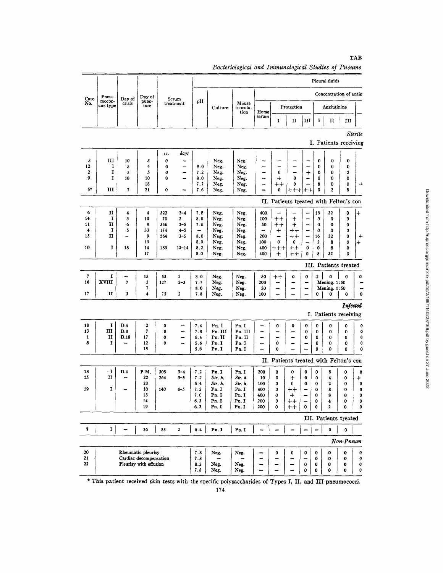| Pleural fluids<br>Concentration of antig<br>Pneu-<br>Day of<br>Case<br>Day of<br>Serum<br>mococ-<br>pН<br>punc-<br>No.<br>crisis<br>treatment<br>Mouse<br>cus type<br>ture<br>Protection<br>Agglutinins<br>Culture<br>inocula-<br>tion<br>Horse<br>serum<br>I<br>Ш<br>I<br>п<br>п<br>$\mathbf{III}$<br>Sterile<br>I. Patients receiving<br>days<br>cc.<br>III<br>3<br>10<br>3<br>0<br>Neg.<br>Neg.<br>0<br>$\bf{0}$<br>0<br>12<br>$\bf{0}$<br>1<br>5<br>4<br>0<br>8.0<br>Neg.<br>Neg.<br>$\bf{0}$<br>0<br>j.<br>--<br>-<br>2<br>5<br>5<br>0<br>7.2<br>$\ddot{}$<br>I<br>Neg.<br>Neg.<br>0<br>0<br>0<br>2<br>-<br>9<br>I<br>10<br>0<br>8.0<br>Neg.<br>$+$<br>$\bf{0}$<br>$\mathbf 0$<br>10<br>-<br>Neg.<br>$\bf{0}$<br>0<br>÷<br>7.7<br>Neg.<br>Neg.<br>$^{\mathrm{+}}$<br>8<br>0<br>0<br>18<br>-<br>0<br>5*<br>Ш<br>21<br>0<br>7.6<br>Neg.<br>$\bf{0}$<br>0<br>2<br>8<br>Neg.<br>+<br>╉<br>II. Patients treated with Felton's con<br>6<br>H<br>$2 - 4$<br>7.8<br>4<br>4<br>322<br>Neg.<br>Neg.<br>400<br>16<br>32<br>$\mathbf 0$<br>$\overline{\phantom{a}}$<br>+<br>14<br>1<br>$\overline{\mathbf{3}}$<br>10<br>70<br>$\overline{\mathbf{c}}$<br>8.0<br>Neg.<br>Neg.<br>100<br>$^{\mathrm{+}}$<br>$\ddag$<br>0<br>0<br>0<br>п<br>6<br>9<br>$+ +$<br>$\ddot{}$<br>$\mathbf 0$<br>11<br>346<br>$2 - 5$<br>7.6<br>Neg.<br>Neg.<br>50<br>0<br>0<br>33<br>$\ddot{\phantom{1}}$<br>1<br>5<br>174<br>$4 - 5$<br>Neg.<br>Neg.<br>$\ddag$<br>$^{\mathrm{++}}$<br>$\mathbf{0}$<br>0<br>0<br>L.<br>п<br>9<br>15<br>264<br>$3 - 5$<br>8.0<br>Neg.<br>Neg.<br>200<br>$^{\mathrm{+}}$<br>16<br>32<br>$\mathbf 0$<br>$\overline{\phantom{0}}$<br>$13\,$<br>$\boldsymbol{0}$<br>$\overline{2}$<br>8.0<br>Neg.<br>Neg.<br>100<br>8<br>$\bf{0}$<br>0<br>$\,{}^+$<br>I<br>10<br>18<br>14<br>183<br>$13 - 14$<br>8.2<br>Neg.<br>$^{\mathrm{+}}$<br>$\mathbf{0}$<br>Neg.<br>400<br>$^{\mathrm{+++}}$<br>0<br>8<br>0<br>17<br>8.0<br>Neg.<br>400<br>8<br>32<br>Neg.<br>$\,^+$<br>0<br>0<br>$\bm{+}\bm{+}$<br>III. Patients treated<br>7<br>2 <sup>1</sup><br>$\pmb{\mathsf{G}}$<br>1<br>15<br>$\boldsymbol{2}$<br>8.0<br>Neg.<br>Neg.<br>O<br>53<br>50<br>$^{\mathrm{+}}$<br>0<br>0<br>16<br>XVIII<br>7<br>5<br>200<br>Mening. 1:50<br>127<br>$2 - 3$<br>7.7<br>Neg.<br>Neg.<br>7<br>8.0<br>Neg.<br>Mening. 1:50<br>Neg.<br>50<br>-<br>-<br>-<br>17<br>$\mathbf{I}$<br>4<br>$\mathbf{2}$<br>7.8<br>3<br>75<br>$\overline{\phantom{0}}$<br>Neg.<br>0<br>0<br>$\bf{0}$<br>Neg.<br>100<br>$\overline{\phantom{0}}$<br>I. Patients receiving<br>I<br>D.4<br>18<br>2<br>7.4<br>Pn.I<br>Pn.1<br>0<br>0<br>0<br>0<br>0<br>-<br>0<br>0<br>13<br>Ш<br>D.8<br>$\overline{7}$<br>Pn. III<br>Pn. III<br>0<br>7.8<br>0<br>0<br>0<br>0<br>۰.<br><br>п<br>17<br>Pn. II<br>Pn. II<br>1<br>D.18<br>0<br>-<br>6.4<br>-<br>0<br>$\mathbf 0$<br>$\bf{0}$<br>$\bf{0}$<br>-<br>8<br>I<br>12<br>0<br>5.6<br>$\pmb{0}$<br>Pn. I<br>Pn. I<br>0<br>$\pmb{0}$<br>$\pmb{0}$<br>⊷<br>15<br>5.6<br>Pn.I<br>Pn. I<br>0<br>0<br>$\mathbf 0$<br>0<br>II. Patients treated with Felton's con |          |  |  |  |  |  |  |  | Bacteriological and Immunological Studies of Pneumo |  |  |  |  |  |  |  |                          |  |
|---------------------------------------------------------------------------------------------------------------------------------------------------------------------------------------------------------------------------------------------------------------------------------------------------------------------------------------------------------------------------------------------------------------------------------------------------------------------------------------------------------------------------------------------------------------------------------------------------------------------------------------------------------------------------------------------------------------------------------------------------------------------------------------------------------------------------------------------------------------------------------------------------------------------------------------------------------------------------------------------------------------------------------------------------------------------------------------------------------------------------------------------------------------------------------------------------------------------------------------------------------------------------------------------------------------------------------------------------------------------------------------------------------------------------------------------------------------------------------------------------------------------------------------------------------------------------------------------------------------------------------------------------------------------------------------------------------------------------------------------------------------------------------------------------------------------------------------------------------------------------------------------------------------------------------------------------------------------------------------------------------------------------------------------------------------------------------------------------------------------------------------------------------------------------------------------------------------------------------------------------------------------------------------------------------------------------------------------------------------------------------------------------------------------------------------------------------------------------------------------------------------------------------------------------------------------------------------------------------------------------------------------------------------------------------------------------------------------------------------------------------------------------------------------------------------------------------------------------------------------------------------------------------------------------------------------------------------------------------------------------------------------------------------|----------|--|--|--|--|--|--|--|-----------------------------------------------------|--|--|--|--|--|--|--|--------------------------|--|
|                                                                                                                                                                                                                                                                                                                                                                                                                                                                                                                                                                                                                                                                                                                                                                                                                                                                                                                                                                                                                                                                                                                                                                                                                                                                                                                                                                                                                                                                                                                                                                                                                                                                                                                                                                                                                                                                                                                                                                                                                                                                                                                                                                                                                                                                                                                                                                                                                                                                                                                                                                                                                                                                                                                                                                                                                                                                                                                                                                                                                                       |          |  |  |  |  |  |  |  |                                                     |  |  |  |  |  |  |  |                          |  |
|                                                                                                                                                                                                                                                                                                                                                                                                                                                                                                                                                                                                                                                                                                                                                                                                                                                                                                                                                                                                                                                                                                                                                                                                                                                                                                                                                                                                                                                                                                                                                                                                                                                                                                                                                                                                                                                                                                                                                                                                                                                                                                                                                                                                                                                                                                                                                                                                                                                                                                                                                                                                                                                                                                                                                                                                                                                                                                                                                                                                                                       |          |  |  |  |  |  |  |  |                                                     |  |  |  |  |  |  |  |                          |  |
|                                                                                                                                                                                                                                                                                                                                                                                                                                                                                                                                                                                                                                                                                                                                                                                                                                                                                                                                                                                                                                                                                                                                                                                                                                                                                                                                                                                                                                                                                                                                                                                                                                                                                                                                                                                                                                                                                                                                                                                                                                                                                                                                                                                                                                                                                                                                                                                                                                                                                                                                                                                                                                                                                                                                                                                                                                                                                                                                                                                                                                       |          |  |  |  |  |  |  |  |                                                     |  |  |  |  |  |  |  |                          |  |
|                                                                                                                                                                                                                                                                                                                                                                                                                                                                                                                                                                                                                                                                                                                                                                                                                                                                                                                                                                                                                                                                                                                                                                                                                                                                                                                                                                                                                                                                                                                                                                                                                                                                                                                                                                                                                                                                                                                                                                                                                                                                                                                                                                                                                                                                                                                                                                                                                                                                                                                                                                                                                                                                                                                                                                                                                                                                                                                                                                                                                                       |          |  |  |  |  |  |  |  |                                                     |  |  |  |  |  |  |  |                          |  |
|                                                                                                                                                                                                                                                                                                                                                                                                                                                                                                                                                                                                                                                                                                                                                                                                                                                                                                                                                                                                                                                                                                                                                                                                                                                                                                                                                                                                                                                                                                                                                                                                                                                                                                                                                                                                                                                                                                                                                                                                                                                                                                                                                                                                                                                                                                                                                                                                                                                                                                                                                                                                                                                                                                                                                                                                                                                                                                                                                                                                                                       |          |  |  |  |  |  |  |  |                                                     |  |  |  |  |  |  |  |                          |  |
|                                                                                                                                                                                                                                                                                                                                                                                                                                                                                                                                                                                                                                                                                                                                                                                                                                                                                                                                                                                                                                                                                                                                                                                                                                                                                                                                                                                                                                                                                                                                                                                                                                                                                                                                                                                                                                                                                                                                                                                                                                                                                                                                                                                                                                                                                                                                                                                                                                                                                                                                                                                                                                                                                                                                                                                                                                                                                                                                                                                                                                       |          |  |  |  |  |  |  |  |                                                     |  |  |  |  |  |  |  |                          |  |
|                                                                                                                                                                                                                                                                                                                                                                                                                                                                                                                                                                                                                                                                                                                                                                                                                                                                                                                                                                                                                                                                                                                                                                                                                                                                                                                                                                                                                                                                                                                                                                                                                                                                                                                                                                                                                                                                                                                                                                                                                                                                                                                                                                                                                                                                                                                                                                                                                                                                                                                                                                                                                                                                                                                                                                                                                                                                                                                                                                                                                                       |          |  |  |  |  |  |  |  |                                                     |  |  |  |  |  |  |  |                          |  |
|                                                                                                                                                                                                                                                                                                                                                                                                                                                                                                                                                                                                                                                                                                                                                                                                                                                                                                                                                                                                                                                                                                                                                                                                                                                                                                                                                                                                                                                                                                                                                                                                                                                                                                                                                                                                                                                                                                                                                                                                                                                                                                                                                                                                                                                                                                                                                                                                                                                                                                                                                                                                                                                                                                                                                                                                                                                                                                                                                                                                                                       |          |  |  |  |  |  |  |  |                                                     |  |  |  |  |  |  |  |                          |  |
|                                                                                                                                                                                                                                                                                                                                                                                                                                                                                                                                                                                                                                                                                                                                                                                                                                                                                                                                                                                                                                                                                                                                                                                                                                                                                                                                                                                                                                                                                                                                                                                                                                                                                                                                                                                                                                                                                                                                                                                                                                                                                                                                                                                                                                                                                                                                                                                                                                                                                                                                                                                                                                                                                                                                                                                                                                                                                                                                                                                                                                       |          |  |  |  |  |  |  |  |                                                     |  |  |  |  |  |  |  |                          |  |
|                                                                                                                                                                                                                                                                                                                                                                                                                                                                                                                                                                                                                                                                                                                                                                                                                                                                                                                                                                                                                                                                                                                                                                                                                                                                                                                                                                                                                                                                                                                                                                                                                                                                                                                                                                                                                                                                                                                                                                                                                                                                                                                                                                                                                                                                                                                                                                                                                                                                                                                                                                                                                                                                                                                                                                                                                                                                                                                                                                                                                                       |          |  |  |  |  |  |  |  |                                                     |  |  |  |  |  |  |  |                          |  |
|                                                                                                                                                                                                                                                                                                                                                                                                                                                                                                                                                                                                                                                                                                                                                                                                                                                                                                                                                                                                                                                                                                                                                                                                                                                                                                                                                                                                                                                                                                                                                                                                                                                                                                                                                                                                                                                                                                                                                                                                                                                                                                                                                                                                                                                                                                                                                                                                                                                                                                                                                                                                                                                                                                                                                                                                                                                                                                                                                                                                                                       |          |  |  |  |  |  |  |  |                                                     |  |  |  |  |  |  |  | $\,{}^+$                 |  |
|                                                                                                                                                                                                                                                                                                                                                                                                                                                                                                                                                                                                                                                                                                                                                                                                                                                                                                                                                                                                                                                                                                                                                                                                                                                                                                                                                                                                                                                                                                                                                                                                                                                                                                                                                                                                                                                                                                                                                                                                                                                                                                                                                                                                                                                                                                                                                                                                                                                                                                                                                                                                                                                                                                                                                                                                                                                                                                                                                                                                                                       |          |  |  |  |  |  |  |  |                                                     |  |  |  |  |  |  |  |                          |  |
|                                                                                                                                                                                                                                                                                                                                                                                                                                                                                                                                                                                                                                                                                                                                                                                                                                                                                                                                                                                                                                                                                                                                                                                                                                                                                                                                                                                                                                                                                                                                                                                                                                                                                                                                                                                                                                                                                                                                                                                                                                                                                                                                                                                                                                                                                                                                                                                                                                                                                                                                                                                                                                                                                                                                                                                                                                                                                                                                                                                                                                       |          |  |  |  |  |  |  |  |                                                     |  |  |  |  |  |  |  |                          |  |
|                                                                                                                                                                                                                                                                                                                                                                                                                                                                                                                                                                                                                                                                                                                                                                                                                                                                                                                                                                                                                                                                                                                                                                                                                                                                                                                                                                                                                                                                                                                                                                                                                                                                                                                                                                                                                                                                                                                                                                                                                                                                                                                                                                                                                                                                                                                                                                                                                                                                                                                                                                                                                                                                                                                                                                                                                                                                                                                                                                                                                                       |          |  |  |  |  |  |  |  |                                                     |  |  |  |  |  |  |  |                          |  |
|                                                                                                                                                                                                                                                                                                                                                                                                                                                                                                                                                                                                                                                                                                                                                                                                                                                                                                                                                                                                                                                                                                                                                                                                                                                                                                                                                                                                                                                                                                                                                                                                                                                                                                                                                                                                                                                                                                                                                                                                                                                                                                                                                                                                                                                                                                                                                                                                                                                                                                                                                                                                                                                                                                                                                                                                                                                                                                                                                                                                                                       |          |  |  |  |  |  |  |  |                                                     |  |  |  |  |  |  |  |                          |  |
|                                                                                                                                                                                                                                                                                                                                                                                                                                                                                                                                                                                                                                                                                                                                                                                                                                                                                                                                                                                                                                                                                                                                                                                                                                                                                                                                                                                                                                                                                                                                                                                                                                                                                                                                                                                                                                                                                                                                                                                                                                                                                                                                                                                                                                                                                                                                                                                                                                                                                                                                                                                                                                                                                                                                                                                                                                                                                                                                                                                                                                       |          |  |  |  |  |  |  |  |                                                     |  |  |  |  |  |  |  |                          |  |
|                                                                                                                                                                                                                                                                                                                                                                                                                                                                                                                                                                                                                                                                                                                                                                                                                                                                                                                                                                                                                                                                                                                                                                                                                                                                                                                                                                                                                                                                                                                                                                                                                                                                                                                                                                                                                                                                                                                                                                                                                                                                                                                                                                                                                                                                                                                                                                                                                                                                                                                                                                                                                                                                                                                                                                                                                                                                                                                                                                                                                                       |          |  |  |  |  |  |  |  |                                                     |  |  |  |  |  |  |  |                          |  |
|                                                                                                                                                                                                                                                                                                                                                                                                                                                                                                                                                                                                                                                                                                                                                                                                                                                                                                                                                                                                                                                                                                                                                                                                                                                                                                                                                                                                                                                                                                                                                                                                                                                                                                                                                                                                                                                                                                                                                                                                                                                                                                                                                                                                                                                                                                                                                                                                                                                                                                                                                                                                                                                                                                                                                                                                                                                                                                                                                                                                                                       |          |  |  |  |  |  |  |  |                                                     |  |  |  |  |  |  |  | $\div$                   |  |
|                                                                                                                                                                                                                                                                                                                                                                                                                                                                                                                                                                                                                                                                                                                                                                                                                                                                                                                                                                                                                                                                                                                                                                                                                                                                                                                                                                                                                                                                                                                                                                                                                                                                                                                                                                                                                                                                                                                                                                                                                                                                                                                                                                                                                                                                                                                                                                                                                                                                                                                                                                                                                                                                                                                                                                                                                                                                                                                                                                                                                                       |          |  |  |  |  |  |  |  |                                                     |  |  |  |  |  |  |  |                          |  |
|                                                                                                                                                                                                                                                                                                                                                                                                                                                                                                                                                                                                                                                                                                                                                                                                                                                                                                                                                                                                                                                                                                                                                                                                                                                                                                                                                                                                                                                                                                                                                                                                                                                                                                                                                                                                                                                                                                                                                                                                                                                                                                                                                                                                                                                                                                                                                                                                                                                                                                                                                                                                                                                                                                                                                                                                                                                                                                                                                                                                                                       |          |  |  |  |  |  |  |  |                                                     |  |  |  |  |  |  |  |                          |  |
|                                                                                                                                                                                                                                                                                                                                                                                                                                                                                                                                                                                                                                                                                                                                                                                                                                                                                                                                                                                                                                                                                                                                                                                                                                                                                                                                                                                                                                                                                                                                                                                                                                                                                                                                                                                                                                                                                                                                                                                                                                                                                                                                                                                                                                                                                                                                                                                                                                                                                                                                                                                                                                                                                                                                                                                                                                                                                                                                                                                                                                       |          |  |  |  |  |  |  |  |                                                     |  |  |  |  |  |  |  |                          |  |
|                                                                                                                                                                                                                                                                                                                                                                                                                                                                                                                                                                                                                                                                                                                                                                                                                                                                                                                                                                                                                                                                                                                                                                                                                                                                                                                                                                                                                                                                                                                                                                                                                                                                                                                                                                                                                                                                                                                                                                                                                                                                                                                                                                                                                                                                                                                                                                                                                                                                                                                                                                                                                                                                                                                                                                                                                                                                                                                                                                                                                                       |          |  |  |  |  |  |  |  |                                                     |  |  |  |  |  |  |  |                          |  |
|                                                                                                                                                                                                                                                                                                                                                                                                                                                                                                                                                                                                                                                                                                                                                                                                                                                                                                                                                                                                                                                                                                                                                                                                                                                                                                                                                                                                                                                                                                                                                                                                                                                                                                                                                                                                                                                                                                                                                                                                                                                                                                                                                                                                                                                                                                                                                                                                                                                                                                                                                                                                                                                                                                                                                                                                                                                                                                                                                                                                                                       |          |  |  |  |  |  |  |  |                                                     |  |  |  |  |  |  |  | 0                        |  |
|                                                                                                                                                                                                                                                                                                                                                                                                                                                                                                                                                                                                                                                                                                                                                                                                                                                                                                                                                                                                                                                                                                                                                                                                                                                                                                                                                                                                                                                                                                                                                                                                                                                                                                                                                                                                                                                                                                                                                                                                                                                                                                                                                                                                                                                                                                                                                                                                                                                                                                                                                                                                                                                                                                                                                                                                                                                                                                                                                                                                                                       |          |  |  |  |  |  |  |  |                                                     |  |  |  |  |  |  |  |                          |  |
|                                                                                                                                                                                                                                                                                                                                                                                                                                                                                                                                                                                                                                                                                                                                                                                                                                                                                                                                                                                                                                                                                                                                                                                                                                                                                                                                                                                                                                                                                                                                                                                                                                                                                                                                                                                                                                                                                                                                                                                                                                                                                                                                                                                                                                                                                                                                                                                                                                                                                                                                                                                                                                                                                                                                                                                                                                                                                                                                                                                                                                       |          |  |  |  |  |  |  |  |                                                     |  |  |  |  |  |  |  | 0                        |  |
|                                                                                                                                                                                                                                                                                                                                                                                                                                                                                                                                                                                                                                                                                                                                                                                                                                                                                                                                                                                                                                                                                                                                                                                                                                                                                                                                                                                                                                                                                                                                                                                                                                                                                                                                                                                                                                                                                                                                                                                                                                                                                                                                                                                                                                                                                                                                                                                                                                                                                                                                                                                                                                                                                                                                                                                                                                                                                                                                                                                                                                       |          |  |  |  |  |  |  |  |                                                     |  |  |  |  |  |  |  |                          |  |
|                                                                                                                                                                                                                                                                                                                                                                                                                                                                                                                                                                                                                                                                                                                                                                                                                                                                                                                                                                                                                                                                                                                                                                                                                                                                                                                                                                                                                                                                                                                                                                                                                                                                                                                                                                                                                                                                                                                                                                                                                                                                                                                                                                                                                                                                                                                                                                                                                                                                                                                                                                                                                                                                                                                                                                                                                                                                                                                                                                                                                                       | Infected |  |  |  |  |  |  |  |                                                     |  |  |  |  |  |  |  |                          |  |
|                                                                                                                                                                                                                                                                                                                                                                                                                                                                                                                                                                                                                                                                                                                                                                                                                                                                                                                                                                                                                                                                                                                                                                                                                                                                                                                                                                                                                                                                                                                                                                                                                                                                                                                                                                                                                                                                                                                                                                                                                                                                                                                                                                                                                                                                                                                                                                                                                                                                                                                                                                                                                                                                                                                                                                                                                                                                                                                                                                                                                                       |          |  |  |  |  |  |  |  |                                                     |  |  |  |  |  |  |  |                          |  |
|                                                                                                                                                                                                                                                                                                                                                                                                                                                                                                                                                                                                                                                                                                                                                                                                                                                                                                                                                                                                                                                                                                                                                                                                                                                                                                                                                                                                                                                                                                                                                                                                                                                                                                                                                                                                                                                                                                                                                                                                                                                                                                                                                                                                                                                                                                                                                                                                                                                                                                                                                                                                                                                                                                                                                                                                                                                                                                                                                                                                                                       |          |  |  |  |  |  |  |  |                                                     |  |  |  |  |  |  |  | $\mathbf 0$              |  |
|                                                                                                                                                                                                                                                                                                                                                                                                                                                                                                                                                                                                                                                                                                                                                                                                                                                                                                                                                                                                                                                                                                                                                                                                                                                                                                                                                                                                                                                                                                                                                                                                                                                                                                                                                                                                                                                                                                                                                                                                                                                                                                                                                                                                                                                                                                                                                                                                                                                                                                                                                                                                                                                                                                                                                                                                                                                                                                                                                                                                                                       |          |  |  |  |  |  |  |  |                                                     |  |  |  |  |  |  |  | $\ddot{\mathbf{0}}$      |  |
|                                                                                                                                                                                                                                                                                                                                                                                                                                                                                                                                                                                                                                                                                                                                                                                                                                                                                                                                                                                                                                                                                                                                                                                                                                                                                                                                                                                                                                                                                                                                                                                                                                                                                                                                                                                                                                                                                                                                                                                                                                                                                                                                                                                                                                                                                                                                                                                                                                                                                                                                                                                                                                                                                                                                                                                                                                                                                                                                                                                                                                       |          |  |  |  |  |  |  |  |                                                     |  |  |  |  |  |  |  | $\pmb{0}$<br>$\mathbf 0$ |  |
|                                                                                                                                                                                                                                                                                                                                                                                                                                                                                                                                                                                                                                                                                                                                                                                                                                                                                                                                                                                                                                                                                                                                                                                                                                                                                                                                                                                                                                                                                                                                                                                                                                                                                                                                                                                                                                                                                                                                                                                                                                                                                                                                                                                                                                                                                                                                                                                                                                                                                                                                                                                                                                                                                                                                                                                                                                                                                                                                                                                                                                       |          |  |  |  |  |  |  |  |                                                     |  |  |  |  |  |  |  | $\mathbf 0$              |  |
|                                                                                                                                                                                                                                                                                                                                                                                                                                                                                                                                                                                                                                                                                                                                                                                                                                                                                                                                                                                                                                                                                                                                                                                                                                                                                                                                                                                                                                                                                                                                                                                                                                                                                                                                                                                                                                                                                                                                                                                                                                                                                                                                                                                                                                                                                                                                                                                                                                                                                                                                                                                                                                                                                                                                                                                                                                                                                                                                                                                                                                       |          |  |  |  |  |  |  |  |                                                     |  |  |  |  |  |  |  |                          |  |
| $\cdot$ 1<br>18<br>D.4<br>P.M.                                                                                                                                                                                                                                                                                                                                                                                                                                                                                                                                                                                                                                                                                                                                                                                                                                                                                                                                                                                                                                                                                                                                                                                                                                                                                                                                                                                                                                                                                                                                                                                                                                                                                                                                                                                                                                                                                                                                                                                                                                                                                                                                                                                                                                                                                                                                                                                                                                                                                                                                                                                                                                                                                                                                                                                                                                                                                                                                                                                                        |          |  |  |  |  |  |  |  |                                                     |  |  |  |  |  |  |  |                          |  |
| 305<br>7.2<br>Pn. I<br>Pn. I<br>200<br>$3 - 4$<br>0<br>0<br>0<br>0<br>8<br>0<br>$\mathbf{H}$<br>15<br>22<br>Str. h.<br>264<br>$3 - 5$<br>7, 2<br>Str. h.<br>10<br>0<br>0<br>4<br>+<br>0<br>0                                                                                                                                                                                                                                                                                                                                                                                                                                                                                                                                                                                                                                                                                                                                                                                                                                                                                                                                                                                                                                                                                                                                                                                                                                                                                                                                                                                                                                                                                                                                                                                                                                                                                                                                                                                                                                                                                                                                                                                                                                                                                                                                                                                                                                                                                                                                                                                                                                                                                                                                                                                                                                                                                                                                                                                                                                          |          |  |  |  |  |  |  |  |                                                     |  |  |  |  |  |  |  | 0                        |  |
| 23<br>5.4<br>Str. h.<br>Str. h.<br>100<br>0<br>0<br>2<br>0<br>0<br>0                                                                                                                                                                                                                                                                                                                                                                                                                                                                                                                                                                                                                                                                                                                                                                                                                                                                                                                                                                                                                                                                                                                                                                                                                                                                                                                                                                                                                                                                                                                                                                                                                                                                                                                                                                                                                                                                                                                                                                                                                                                                                                                                                                                                                                                                                                                                                                                                                                                                                                                                                                                                                                                                                                                                                                                                                                                                                                                                                                  |          |  |  |  |  |  |  |  |                                                     |  |  |  |  |  |  |  | $\pmb{+}$<br>0           |  |
| 19<br>1<br>10<br>Pn. I<br>140<br>$4 - 5$<br>7.2<br>Pn. I<br>400<br>0<br>$^{\mathrm{++}}$<br>0<br>8<br>0                                                                                                                                                                                                                                                                                                                                                                                                                                                                                                                                                                                                                                                                                                                                                                                                                                                                                                                                                                                                                                                                                                                                                                                                                                                                                                                                                                                                                                                                                                                                                                                                                                                                                                                                                                                                                                                                                                                                                                                                                                                                                                                                                                                                                                                                                                                                                                                                                                                                                                                                                                                                                                                                                                                                                                                                                                                                                                                               |          |  |  |  |  |  |  |  |                                                     |  |  |  |  |  |  |  | 0                        |  |
| 13<br>7.0<br>Pn. I<br>Pn. I<br>400<br>0<br>$\ddot{}$<br>0<br>8<br>0                                                                                                                                                                                                                                                                                                                                                                                                                                                                                                                                                                                                                                                                                                                                                                                                                                                                                                                                                                                                                                                                                                                                                                                                                                                                                                                                                                                                                                                                                                                                                                                                                                                                                                                                                                                                                                                                                                                                                                                                                                                                                                                                                                                                                                                                                                                                                                                                                                                                                                                                                                                                                                                                                                                                                                                                                                                                                                                                                                   |          |  |  |  |  |  |  |  |                                                     |  |  |  |  |  |  |  | 0                        |  |
| 14<br>Pn. I<br>200<br>0<br>6.3<br>Pn.I<br>$^{\mathrm{+}\mathrm{+}}$<br>0<br>4<br>0                                                                                                                                                                                                                                                                                                                                                                                                                                                                                                                                                                                                                                                                                                                                                                                                                                                                                                                                                                                                                                                                                                                                                                                                                                                                                                                                                                                                                                                                                                                                                                                                                                                                                                                                                                                                                                                                                                                                                                                                                                                                                                                                                                                                                                                                                                                                                                                                                                                                                                                                                                                                                                                                                                                                                                                                                                                                                                                                                    |          |  |  |  |  |  |  |  |                                                     |  |  |  |  |  |  |  | 0                        |  |
| 19<br>$\mathbf 2$<br>6.3<br>Pn.I<br>200<br>0<br>0<br>0<br>0<br>Pn. I<br>$^{\mathrm{+}}$                                                                                                                                                                                                                                                                                                                                                                                                                                                                                                                                                                                                                                                                                                                                                                                                                                                                                                                                                                                                                                                                                                                                                                                                                                                                                                                                                                                                                                                                                                                                                                                                                                                                                                                                                                                                                                                                                                                                                                                                                                                                                                                                                                                                                                                                                                                                                                                                                                                                                                                                                                                                                                                                                                                                                                                                                                                                                                                                               |          |  |  |  |  |  |  |  |                                                     |  |  |  |  |  |  |  | 0                        |  |
| III. Patients treated                                                                                                                                                                                                                                                                                                                                                                                                                                                                                                                                                                                                                                                                                                                                                                                                                                                                                                                                                                                                                                                                                                                                                                                                                                                                                                                                                                                                                                                                                                                                                                                                                                                                                                                                                                                                                                                                                                                                                                                                                                                                                                                                                                                                                                                                                                                                                                                                                                                                                                                                                                                                                                                                                                                                                                                                                                                                                                                                                                                                                 |          |  |  |  |  |  |  |  |                                                     |  |  |  |  |  |  |  |                          |  |
| 7<br>1<br>26<br>2<br>53<br>Pn. I<br>$Pn$ . I<br>0<br>6.4<br>0                                                                                                                                                                                                                                                                                                                                                                                                                                                                                                                                                                                                                                                                                                                                                                                                                                                                                                                                                                                                                                                                                                                                                                                                                                                                                                                                                                                                                                                                                                                                                                                                                                                                                                                                                                                                                                                                                                                                                                                                                                                                                                                                                                                                                                                                                                                                                                                                                                                                                                                                                                                                                                                                                                                                                                                                                                                                                                                                                                         |          |  |  |  |  |  |  |  |                                                     |  |  |  |  |  |  |  |                          |  |
| Non-Pneum                                                                                                                                                                                                                                                                                                                                                                                                                                                                                                                                                                                                                                                                                                                                                                                                                                                                                                                                                                                                                                                                                                                                                                                                                                                                                                                                                                                                                                                                                                                                                                                                                                                                                                                                                                                                                                                                                                                                                                                                                                                                                                                                                                                                                                                                                                                                                                                                                                                                                                                                                                                                                                                                                                                                                                                                                                                                                                                                                                                                                             |          |  |  |  |  |  |  |  |                                                     |  |  |  |  |  |  |  |                          |  |

L.

 $\overline{a}$ 

 $\blacksquare$ 

 $\overline{\phantom{a}}$ 

20

 $\frac{21}{22}$ 

Rheumatic pleurisy

Cardiac decompensation<br>Pleurisy with effusion

teriologic  $nd$  Immunological Studies of  $D$  $\mathbf{p}$ o

\* This patient received skin tests with the specific polysaccharides of Types I, II, and III pneumococci.

Neg.<br>Neg.<br>Neg.

 $\frac{1}{2}$ 

 $\frac{0}{1}$ 

 $\frac{0}{1}$  $\begin{array}{c} 0 \\ - \\ 0 \\ 0 \end{array}$  $\begin{matrix} 0 \\ 0 \\ 0 \\ 0 \end{matrix}$  $\begin{matrix} 0 \\ 0 \\ 0 \\ 0 \end{matrix}$ 

Neg.<br>Neg.<br>Neg.

 $7.8$ <br> $7.8$ <br> $8.2$ <br> $7.8$ 

# TAB

 $\begin{matrix} 0 \\ 0 \\ 0 \\ 0 \end{matrix}$ 

 $\mathbf 0$ 

 $\pmb{0}$  $\pmb{0}$  $\mathbf 0$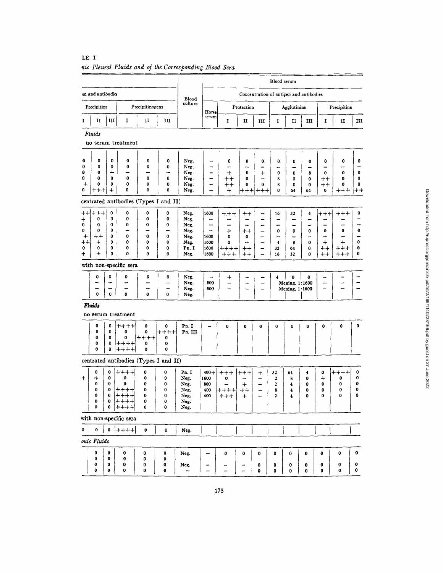|                 |                     |                 |                           |                                       |                  |                         |                                |                   |                                    |              | Blood serum           |                          |                                         |                                    |                        |                      |
|-----------------|---------------------|-----------------|---------------------------|---------------------------------------|------------------|-------------------------|--------------------------------|-------------------|------------------------------------|--------------|-----------------------|--------------------------|-----------------------------------------|------------------------------------|------------------------|----------------------|
|                 | en and antibodier   |                 |                           |                                       |                  | <b>Blood</b>            |                                |                   |                                    |              |                       |                          | Concentration of antigen and antibodies |                                    |                        |                      |
|                 | Precipitins         | Precipitinogens |                           | culture                               | Horse            | Protection              |                                |                   |                                    |              | Agglutinins           |                          | Precipitins                             |                                    |                        |                      |
| 1               | $\mathbf{I}$        | Ш               | I                         | п                                     | ш                |                         | serum                          | 1                 | п                                  | ш            | I                     | п                        | ш                                       | I                                  | п                      | ш                    |
|                 | <b>Fluids</b>       |                 |                           |                                       |                  |                         |                                |                   |                                    |              |                       |                          |                                         |                                    |                        |                      |
|                 |                     |                 | no serum treatment        |                                       |                  |                         |                                |                   |                                    |              |                       |                          |                                         |                                    |                        |                      |
| 0               | $\mathbf 0$         | 0               | 0                         | 0                                     |                  |                         |                                |                   |                                    |              |                       |                          |                                         |                                    |                        |                      |
| 0               | 0                   | 0               | 0                         | 0                                     | 0<br>0           | Neg.<br>Neg.            | $\overline{\phantom{0}}$<br>., | 0                 | 0<br><u>.</u>                      | 0<br>-       | $\boldsymbol{0}$<br>- | $\bf{0}$<br>-            | 0                                       | 0                                  | 0                      | 0                    |
| 0               | $\bf{0}$            | $\div$          |                           |                                       | -                | Neg.                    | -                              | $+$               | $\mathbf 0$                        | $^{+}$       | 0                     | 0                        | 8                                       | 0                                  | $\bf{0}$               | 0                    |
| 0               | 0                   | 0               | 0<br>0                    | 0                                     | 0                | Neg.                    | $\overline{\phantom{0}}$       | $^{\mathrm{+}}$   | 0                                  |              | 8                     | $\bf{0}$                 | 0                                       | $^{\mathrm{+}}$                    | 0                      | 0                    |
| $\,{}^+$<br>0   | 0<br>+++            | 0<br>$\bm{+}$   | 0                         | $\pmb{0}$<br>0                        | 0<br>$\bf{0}$    | Neg.<br>Neg.            |                                | $^+$<br>$\div$    | 0                                  | 0<br>+++ +++ | 8<br>0                | 0<br>64                  | 0<br>64                                 | $^{\mathrm{+}}$<br>0               | 0<br>$^{\mathrm{+++}}$ | 0<br>$^{\mathrm ++}$ |
|                 |                     |                 |                           | centrated antibodies (Types I and II) |                  |                         |                                |                   |                                    |              |                       |                          |                                         |                                    |                        |                      |
| $^{\mathrm{+}}$ | $^{\mathrm{+}}$     | 0               | 0                         | 0                                     | 0                | Neg.                    | 1600                           | $+, + +$          | $++$                               | ↔            | 16                    | 32                       | 4                                       | $++++$                             | $++++$                 | 0                    |
| $\pmb{+}$<br>0  | 0<br>0              | 0<br>0          | 0<br>0                    | 0<br>0                                | 0<br>0           | Neg.                    | -                              |                   | --                                 | -            | -                     | -                        | -                                       |                                    |                        |                      |
| 0               | 0                   | 0               |                           | -                                     | ÷                | Neg.<br>Neg.            | -<br>÷                         | $\ddot{}$         | ۰.<br>$^{\mathrm{+}}$              | -            | -<br>0                | -<br>$\mathbf 0$         | $\overline{\phantom{0}}$<br>0           | 0                                  | 0                      | 0                    |
| $\ddot{}$       | $^{\mathrm{+}}$     | 0               | 0                         | 0                                     | 0                | Neg.                    | 1600                           | 0                 | 0                                  | ÷            | <b></b>               | $\overline{\phantom{0}}$ | -                                       | ÷                                  | -                      |                      |
| ++              | $\ddot{}$           | 0<br>0          | 0                         | 0<br>0                                | 0                | Neg.<br>Pn.I            | 1600                           | 0                 | $+$                                |              | 4                     | 8                        | $\bf{0}$                                | $\ddot{}$                          | $+$                    | 0<br>0               |
| 0<br>+          | 0<br>$\div$         | 0               | 0<br>0                    | 0                                     | 0<br>0           | Neg.                    | 1600<br>1600                   | $+++++$<br>$++++$ | $^{\mathrm{+}}$<br>$^{\mathrm{+}}$ |              | 32<br>16              | 64<br>32                 | $\mathbf 0$<br>0                        | $^{\mathrm{+}}$<br>$^{\mathrm{+}}$ | $+++$<br>+++           | 0                    |
|                 |                     |                 | with non-specific sera    |                                       |                  |                         |                                |                   |                                    |              |                       |                          |                                         |                                    |                        |                      |
|                 | 0                   | 0               | 0                         | 0                                     | 0                | Neg.                    |                                | +                 |                                    |              | $\ddot{\bullet}$      | 0                        | 0                                       | -                                  |                        |                      |
|                 |                     |                 |                           |                                       | -                | Neg.                    | 800                            |                   |                                    |              |                       | Mening. 1:1600           |                                         | -                                  |                        |                      |
|                 | <b></b><br>$\bf{0}$ | $\mathbf 0$     | -<br>0                    | -<br>0                                | -<br>$\mathbf 0$ | Neg.                    | 800                            |                   |                                    |              |                       | Mening. 1:1600           |                                         | -                                  |                        |                      |
|                 | Fluids              |                 |                           |                                       |                  | Neg.                    |                                |                   |                                    |              |                       |                          |                                         |                                    |                        |                      |
|                 |                     |                 | no serum treatment        |                                       |                  |                         |                                |                   |                                    |              |                       |                          |                                         |                                    |                        |                      |
|                 | 0                   | 0               | ++++                      | 0                                     | 0                | Pn. I                   |                                | 0                 | 0                                  | 0            | $\bf{0}$              | $\bf{0}$                 | 0                                       | 0                                  | 0                      | 0                    |
|                 | 0                   | 0               | 0                         | 0                                     | $++++$           | Pn. III                 |                                |                   |                                    |              |                       |                          |                                         |                                    |                        |                      |
|                 | 0                   | 0               | 0                         | ++++                                  | 0                |                         |                                |                   |                                    |              |                       |                          |                                         |                                    |                        |                      |
|                 | 0<br>0              | 0<br>0          | ┿<br>++<br>┿<br>$+ + + +$ | 0<br>0                                | 0<br>0           |                         |                                |                   |                                    |              |                       |                          |                                         |                                    |                        |                      |
|                 |                     |                 |                           | centrated antibodies (Types I and II) |                  |                         |                                |                   |                                    |              |                       |                          |                                         |                                    |                        |                      |
|                 | 0                   | 0               | ++++                      | 0                                     | 0                | Pn. I                   | $400 +$                        | $^{\mathrm{+++}}$ | $^+$ + $^+$                        | $\,{}^+$     | 32                    | 64                       | 4                                       | 0                                  | ++++                   | 0                    |
| ተ               | ┿                   | $\bf{0}$        | 0                         | 0                                     | 0                | Neg.                    | 1600                           | 0                 | --                                 |              | 2                     | 8                        | 0                                       | +                                  | 0                      | 0                    |
|                 | 0                   | 0               | 0                         | 0                                     | 0                | Neg.                    | 800                            |                   | $\ddot{}$                          |              | 2                     | 4                        | 0                                       | 0                                  | 0                      | 0                    |
|                 | 0<br>0              | $\bf{0}$<br>0   | ++++<br>L<br>++++         | 0<br>0                                | 0<br>0           | Neg.<br>${\hbox{Neg.}}$ | 400<br>400                     | ++++              | $^+$                               | -            | 8<br>2                | 4                        | 0<br>0                                  | 0<br>0                             | 0<br>0                 | 0<br>0               |
|                 | 0                   |                 | $0$ $ ++++ $              | 0                                     | 0                | Neg.                    |                                | ᠇᠇᠇               |                                    |              |                       |                          |                                         |                                    |                        |                      |
|                 | 0                   |                 | $0$ $ ++++$               | 0                                     | 0                | Neg.                    |                                |                   |                                    |              |                       |                          |                                         |                                    |                        |                      |
|                 |                     |                 | with non-specific sera    |                                       |                  |                         |                                |                   |                                    |              |                       |                          |                                         |                                    |                        |                      |
| 0               | 0                   |                 | $0$ ++++                  | $\bf{0}$                              | 0                | Neg.                    |                                |                   |                                    |              |                       |                          |                                         |                                    |                        |                      |
|                 | onic Fluids         |                 |                           |                                       |                  |                         |                                |                   |                                    |              |                       |                          |                                         |                                    |                        |                      |
|                 | 0                   | $\bf{0}$        | 0                         | 0                                     | 0                | Neg.                    |                                | 0                 | 0                                  | 0            | 0                     | 0                        | 0                                       | 0                                  | 0                      | 0                    |
|                 | 0<br>0              | 0<br>0          | 0<br>0                    | 0<br>0                                | 0<br>0           | Neg.                    |                                |                   |                                    | 0            | 0                     | 0                        | 0                                       | 0                                  | 0                      | o                    |
|                 | 0                   | 0               | $\mathbf 0$               | 0                                     | 0                |                         |                                |                   |                                    | 0            | 0                     | $\bf{0}$                 | 0                                       | 0                                  | 0                      | 0                    |

LE I nic Pleural Fluids and of the Corresponding Blood Sera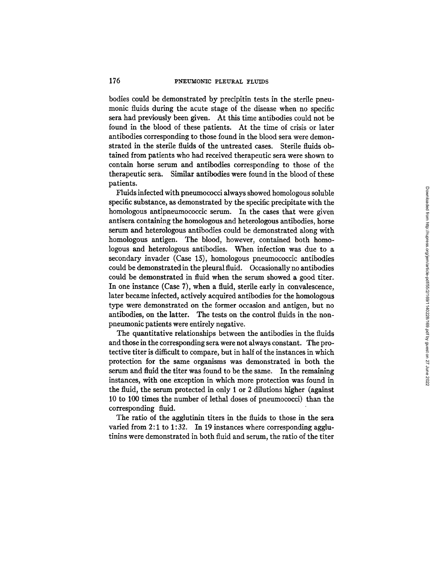bodies could be demonstrated by precipitin tests in the sterile pneumonic fluids during the acute stage of the disease when no specific sera had previously been given. At this time antibodies could not be found in the blood of these patients. At the time of crisis or later antibodies corresponding to those found in the blood sera were demonstrated in the sterile fluids of the untreated cases. Sterile fluids obtained from patients who had received therapeutic sera were shown to contain horse serum and antibodies corresponding to those of the therapeutic sera. Similar antibodies were found in the blood of these patients.

Fluids infected with pneumococci always showed homologous soluble specific substance, as demonstrated by the specific precipitate with the homologous antipneumococcic serum. In the cases that were given antisera containing the homologous and heterologous antibodies, horse serum and heterologous antibodies could be demonstrated along with homologous antigen. The blood, however, contained both homologous and heterologous antibodies. When infection was due to a secondary invader (Case 15), homologous pneumococcic antibodies could be demonstrated in the pleural fluid. Occasionally no antibodies could be demonstrated in fluid when the serum showed a good titer. In one instance (Case 7), when a fluid, sterile early in convalescence, later became infected, actively acquired antibodies for the homologous type were demonstrated on the former occasion and antigen, but no antibodies, on the latter. The tests on the control fluids in the nonpneumonic patients were entirely negative.

The quantitative relationships between the antibodies in the fluids and those in the corresponding sera were not always constant. The protective titer is difficult to compare, but in half of the instances in which protection for the same organisms was demonstrated in both the serum and fluid the titer was found to be the same. In the remaining instances, with one exception in which more protection was found in the fluid, the serum protected in only 1 or 2 dilutions higher (against 10 to 100 times the number of lethal doses of pneumococci) than the corresponding fluid.

The ratio of the agglutinin titers in the fluids to those in the sera varied from 2:1 to 1:32. In 19 instances where corresponding agglutinins were demonstrated in both fluid and serum, the ratio of the titer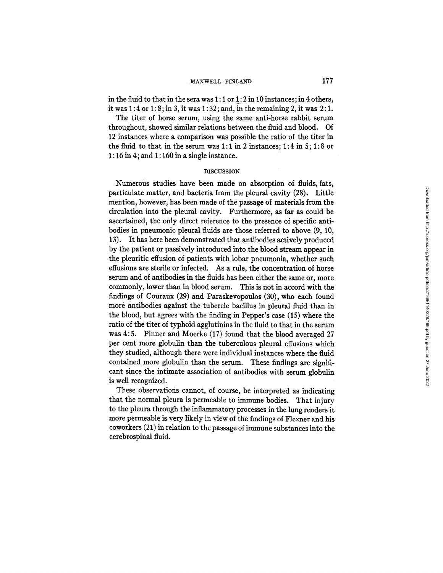# MAXWELL FINLAND 177

in the fluid to that in the sera was 1: 1 or 1: 2 in 10 instances; in 4 others, it was  $1:4$  or  $1:8$ ; in 3, it was  $1:32$ ; and, in the remaining 2, it was  $2:1$ .

The titer of horse serum, using the same anti-horse rabbit serum throughout, showed similar relations between the fluid and blood. Of 12 instances where a comparison was possible the ratio of the titer in the fluid to that in the serum was  $1:1$  in 2 instances;  $1:4$  in  $5:1:8$  or 1:16 in 4; and 1:160 in a single instance.

### **DISCUSSION**

Numerous studies have been made on absorption of fluids, fats, particulate matter, and bacteria from the pleural cavity (28). Little mention, however, has been made of the passage of materials from the circulation into the pleural cavity. Furthermore, as far as could be ascertained, the only direct reference to the presence of specific antibodies in pneumonic pleural fluids are those referred to above (9, 10, 13). It has here been demonstrated that antibodies actively produced by the patient or passively introduced into the blood stream appear in the pleuritic effusion of patients with lobar pneumonia, whether such effusions are sterile or infected. As a rule, the concentration of horse serum and of antibodies in the fluids has been either the same or, more commonly, lower than in blood serum. This is not in accord with the findings of Couraux (29) and Paraskevopoulos (30), who each found more antibodies against the tubercle bacillus in pleural fluid than in the blood, but agrees with the finding in Pepper's case (15) where the ratio of the titer of typhoid agglutinins in the fluid to that in the serum was 4:5. Pinner and Moerke (17) found that the blood averaged 27 per cent more globulin than the tuberculous pleural effusions which they studied, although there were individual instances where the fluid contained more globulin than the serum. These findings are significant since the intimate association of antibodies with serum globulin is well recognized.

These observations cannot, of course, be interpreted as indicating that the normal pleura is permeable to immune bodies. That injury to the pleura through the inflammatory processes in the lung renders it more permeable is very likely in view of the findings of Flexner and his coworkers (21) in relation to the passage of immune substances into the cerebrospinal fluid.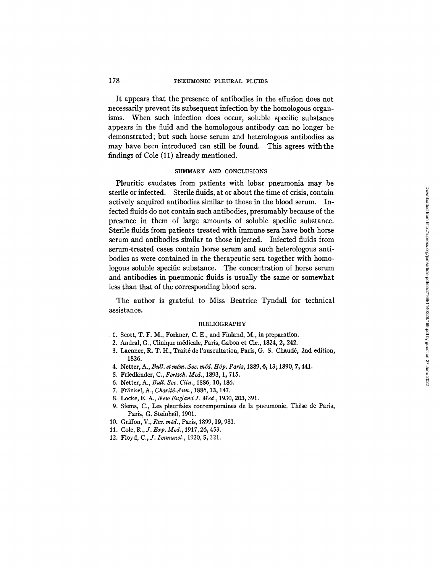### 178 PNEUMONIC PLEURAL FLUIDS

It appears that the presence of antibodies in the effusion does not necessarily prevent its subsequent infection by the homologous organisms. When such infection does occur, soluble specific substance appears in the fluid and the homologous antibody can no longer be demonstrated; but such horse serum and heterologous antibodies as may have been introduced can still be found. This agrees with the findings of Cole (11) already mentioned.

# SUMMARY AND CONCLUSIONS

Pleuritic exudates from patients with lobar pneumonia may be sterile or infected. Sterile fluids, at or about the time of crisis, contain actively acquired antibodies similar to those in the blood serum. Infected fluids do not contain such antibodies, presumably because of the presence in them of large amounts of soluble specific substance. Sterile fluids from patients treated with immune sera have both horse serum and antibodies similar to those injected. Infected fluids from serum-treated cases contain horse serum and such heterologous antibodies as were contained in the therapeutic sera together with homologous soluble specific substance. The concentration of horse serum and antibodies in pneumonic fluids is usually the same or somewhat less than that of the corresponding blood sera.

The author is grateful to Miss Beatrice Tyndall for technical assistance.

### BIBLIOGRAPHY

- I. Scott, T. F. M., Forkner, C. E., and Finland, M., in preparation.
- 2. Andral, G., Clinique médicale, Paris, Gabon et Cie., 1824, 2, 242.
- 3. Laennec, R. T. H., Traité de l'auscultation, Paris, G. S. Chaudé, 2nd edition, 1826.
- 4. Netter, A., *Bull. et mêm. Soc. mêd. Hôp. Paris*, 1889, 6, 13; 1890, 7, 441.
- 5. Friedländer, C., *Fortsch. Med.*, 1893, 1, 715.
- 6. Netter, A., *Bull. Soc. Clin.,* 1886, 10, 186.
- 7. Fränkel, A., *Charité-Ann.*, 1886, 13, 147.
- 8. Locke, E. A., *New England J. Med.,* 1930, 203, 391.
- 9. Siems, C., Les pleurésies contemporaines de la pneumonie, Thèse de Paris, Paris, G. Steinheil, 1901.
- 10. Griffon, *V., Rev. m~d.,* Paris, 1899, 19, 981.
- 11. Cole, R., *J. Exp. Med.,* 1917, 26, 453.
- 12. Floyd, *C., J. Immunol.,* 1920, 5, 321.